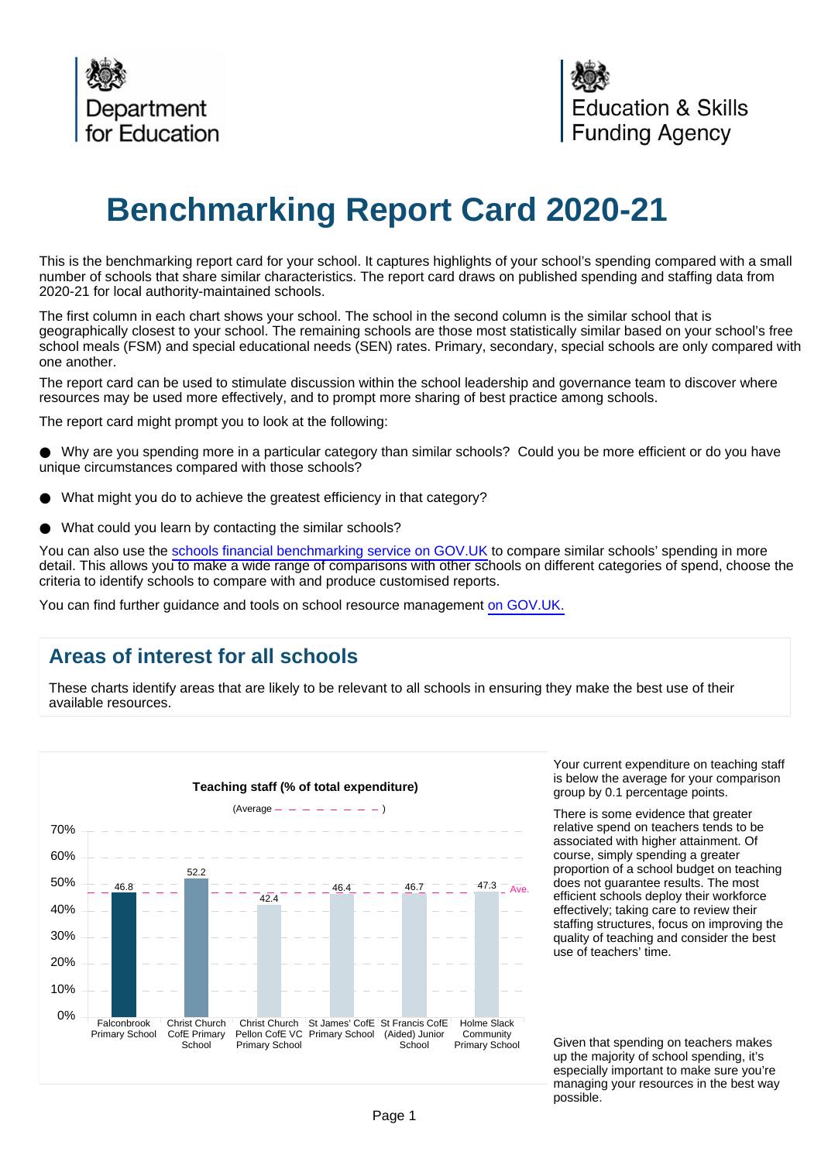

# **Benchmarking Report Card 2020-21**

This is the benchmarking report card for your school. It captures highlights of your school's spending compared with a small number of schools that share similar characteristics. The report card draws on published spending and staffing data from 2020-21 for local authority-maintained schools.

The first column in each chart shows your school. The school in the second column is the similar school that is geographically closest to your school. The remaining schools are those most statistically similar based on your school's free school meals (FSM) and special educational needs (SEN) rates. Primary, secondary, special schools are only compared with one another.

The report card can be used to stimulate discussion within the school leadership and governance team to discover where resources may be used more effectively, and to prompt more sharing of best practice among schools.

The report card might prompt you to look at the following:

Why are you spending more in a particular category than similar schools? Could you be more efficient or do you have unique circumstances compared with those schools?

- What might you do to achieve the greatest efficiency in that category?
- What could you learn by contacting the similar schools?

You can also use the [schools financial benchmarking service on GOV.UK](https://schools-financial-benchmarking.service.gov.uk) to compare similar schools' spending in more detail. This allows you to make a wide range of comparisons with other schools on different categories of spend, choose the criteria to identify schools to compare with and produce customised reports.

You can find further guidance and tools on school resource management [on GOV.UK.](https://www.gov.uk/government/collections/schools-financial-health-and-efficiency)

## **Areas of interest for all schools**

These charts identify areas that are likely to be relevant to all schools in ensuring they make the best use of their available resources.



Your current expenditure on teaching staff is below the average for your comparison group by 0.1 percentage points.

There is some evidence that greater relative spend on teachers tends to be associated with higher attainment. Of course, simply spending a greater proportion of a school budget on teaching does not guarantee results. The most efficient schools deploy their workforce effectively; taking care to review their staffing structures, focus on improving the quality of teaching and consider the best use of teachers' time.

Given that spending on teachers makes up the majority of school spending, it's especially important to make sure you're managing your resources in the best way possible.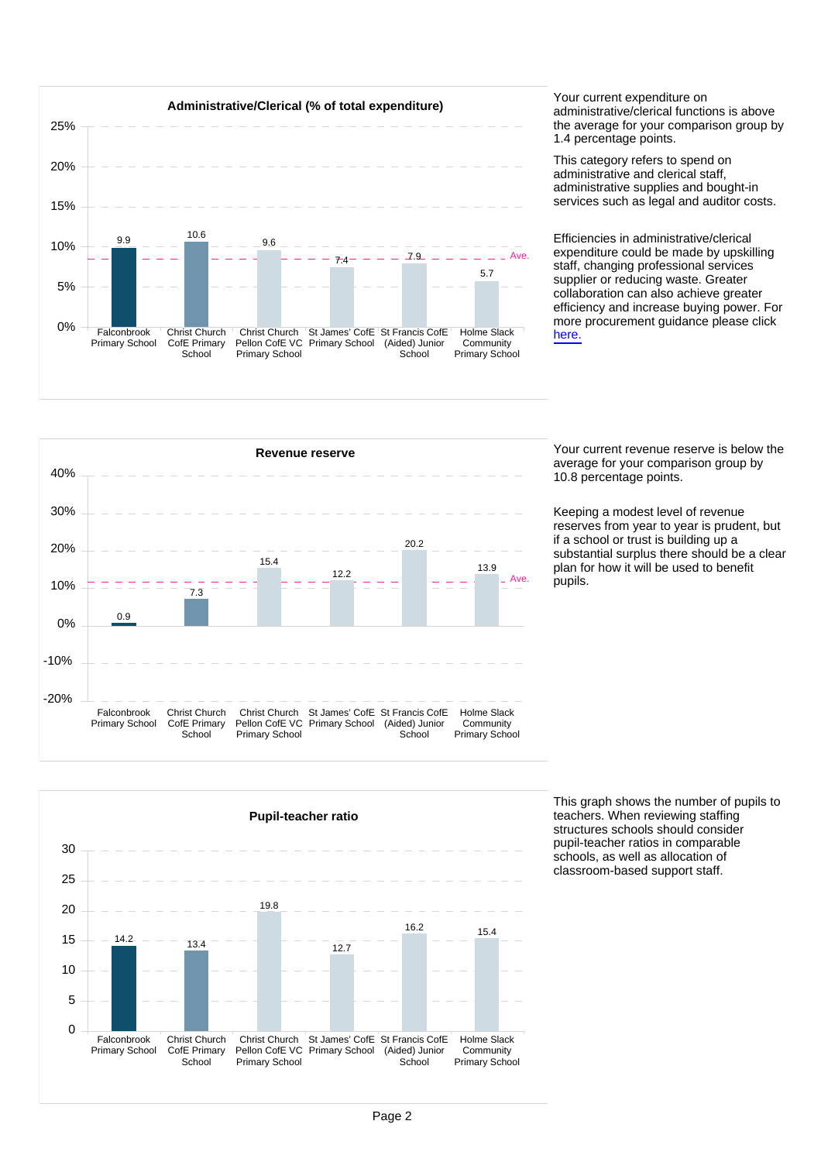

administrative/clerical functions is above the average for your comparison group by 1.4 percentage points.

This category refers to spend on administrative and clerical staff, administrative supplies and bought-in services such as legal and auditor costs.

Efficiencies in administrative/clerical expenditure could be made by upskilling staff, changing professional services supplier or reducing waste. Greater collaboration can also achieve greater efficiency and increase buying power. For more procurement guidance please click [here.](https://www.gov.uk/guidance/buying-for-schools)



average for your comparison group by 10.8 percentage points.

Keeping a modest level of revenue reserves from year to year is prudent, but if a school or trust is building up a substantial surplus there should be a clear plan for how it will be used to benefit .<br>pupils.



This graph shows the number of pupils to teachers. When reviewing staffing structures schools should consider pupil-teacher ratios in comparable schools, as well as allocation of classroom-based support staff.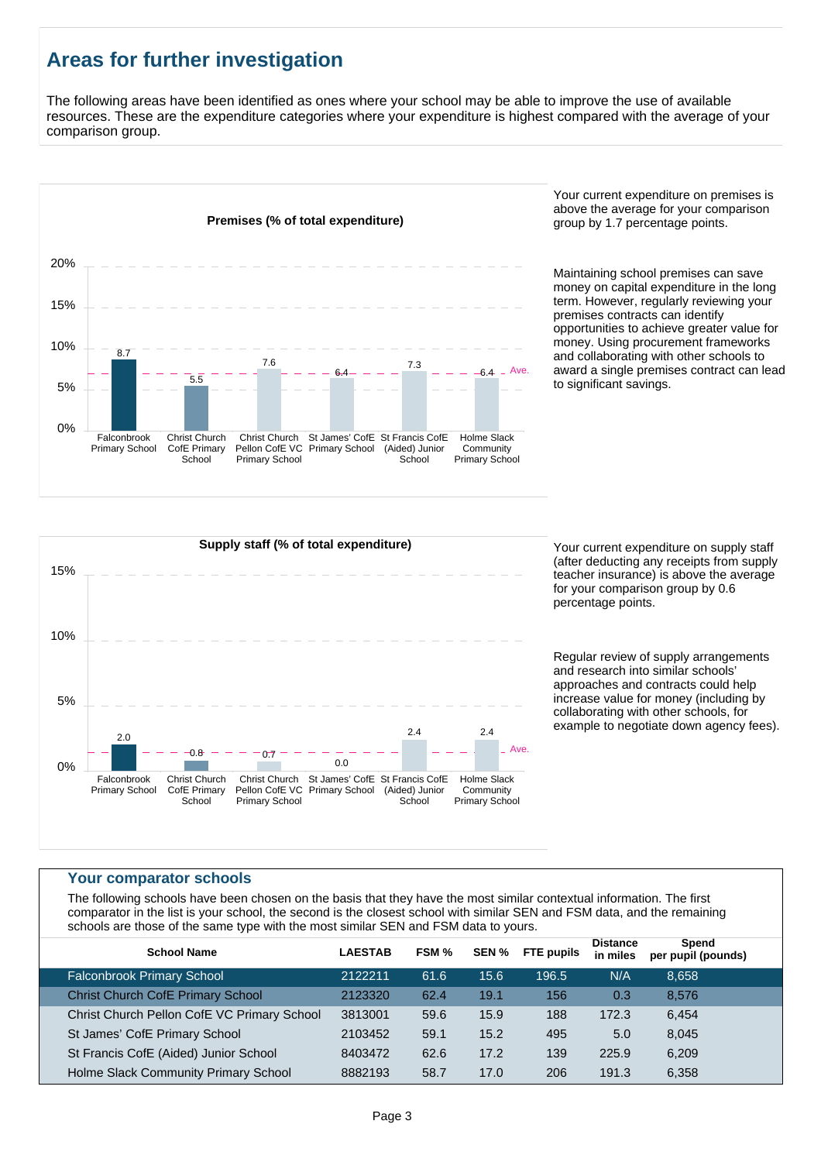# **Areas for further investigation**

The following areas have been identified as ones where your school may be able to improve the use of available resources. These are the expenditure categories where your expenditure is highest compared with the average of your comparison group.



Your current expenditure on premises is above the average for your comparison group by 1.7 percentage points.

Maintaining school premises can save money on capital expenditure in the long term. However, regularly reviewing your premises contracts can identify opportunities to achieve greater value for money. Using procurement frameworks and collaborating with other schools to award a single premises contract can lead to significant savings.



(after deducting any receipts from supply teacher insurance) is above the average for your comparison group by 0.6 percentage points.

Regular review of supply arrangements and research into similar schools' approaches and contracts could help increase value for money (including by collaborating with other schools, for example to negotiate down agency fees).

#### **Your comparator schools**

The following schools have been chosen on the basis that they have the most similar contextual information. The first comparator in the list is your school, the second is the closest school with similar SEN and FSM data, and the remaining schools are those of the same type with the most similar SEN and FSM data to yours.

| per pupil (pounds) |
|--------------------|